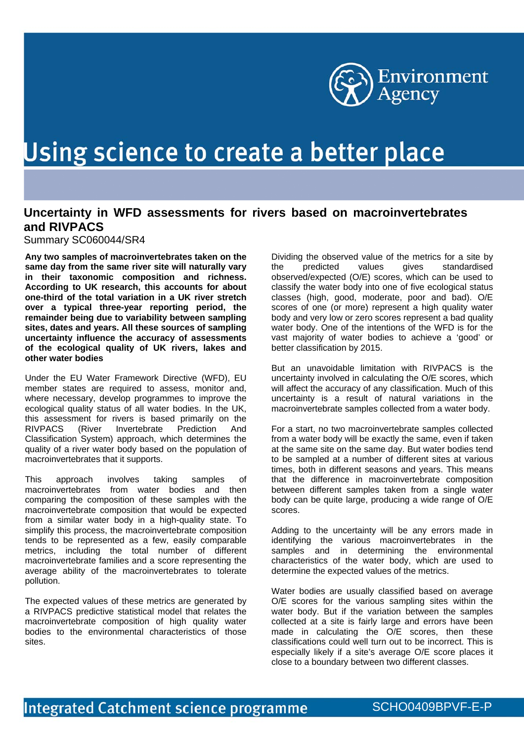

## Using science to create a better place

## **Uncertainty in WFD assessments for rivers based on macroinvertebrates and RIVPACS**

Summary SC060044/SR4

**Any two samples of macroinvertebrates taken on the same day from the same river site will naturally vary in their taxonomic composition and richness. According to UK research, this accounts for about one-third of the total variation in a UK river stretch over a typical three-year reporting period, the remainder being due to variability between sampling sites, dates and years. All these sources of sampling uncertainty influence the accuracy of assessments of the ecological quality of UK rivers, lakes and other water bodies** 

Under the EU Water Framework Directive (WFD), EU member states are required to assess, monitor and, where necessary, develop programmes to improve the ecological quality status of all water bodies. In the UK, this assessment for rivers is based primarily on the RIVPACS (River Invertebrate Prediction And (River Invertebrate Prediction And Classification System) approach, which determines the quality of a river water body based on the population of macroinvertebrates that it supports.

This approach involves taking samples of macroinvertebrates from water bodies and then comparing the composition of these samples with the macroinvertebrate composition that would be expected from a similar water body in a high-quality state. To simplify this process, the macroinvertebrate composition tends to be represented as a few, easily comparable metrics, including the total number of different macroinvertebrate families and a score representing the average ability of the macroinvertebrates to tolerate pollution.

The expected values of these metrics are generated by a RIVPACS predictive statistical model that relates the macroinvertebrate composition of high quality water bodies to the environmental characteristics of those sites.

Dividing the observed value of the metrics for a site by the predicted values gives standardised observed/expected (O/E) scores, which can be used to classify the water body into one of five ecological status classes (high, good, moderate, poor and bad). O/E scores of one (or more) represent a high quality water body and very low or zero scores represent a bad quality water body. One of the intentions of the WFD is for the vast majority of water bodies to achieve a 'good' or better classification by 2015.

But an unavoidable limitation with RIVPACS is the uncertainty involved in calculating the O/E scores, which will affect the accuracy of any classification. Much of this uncertainty is a result of natural variations in the macroinvertebrate samples collected from a water body.

For a start, no two macroinvertebrate samples collected from a water body will be exactly the same, even if taken at the same site on the same day. But water bodies tend to be sampled at a number of different sites at various times, both in different seasons and years. This means that the difference in macroinvertebrate composition between different samples taken from a single water body can be quite large, producing a wide range of O/E scores.

Adding to the uncertainty will be any errors made in identifying the various macroinvertebrates in the samples and in determining the environmental characteristics of the water body, which are used to determine the expected values of the metrics.

Water bodies are usually classified based on average O/E scores for the various sampling sites within the water body. But if the variation between the samples collected at a site is fairly large and errors have been made in calculating the O/E scores, then these classifications could well turn out to be incorrect. This is especially likely if a site's average O/E score places it close to a boundary between two different classes.